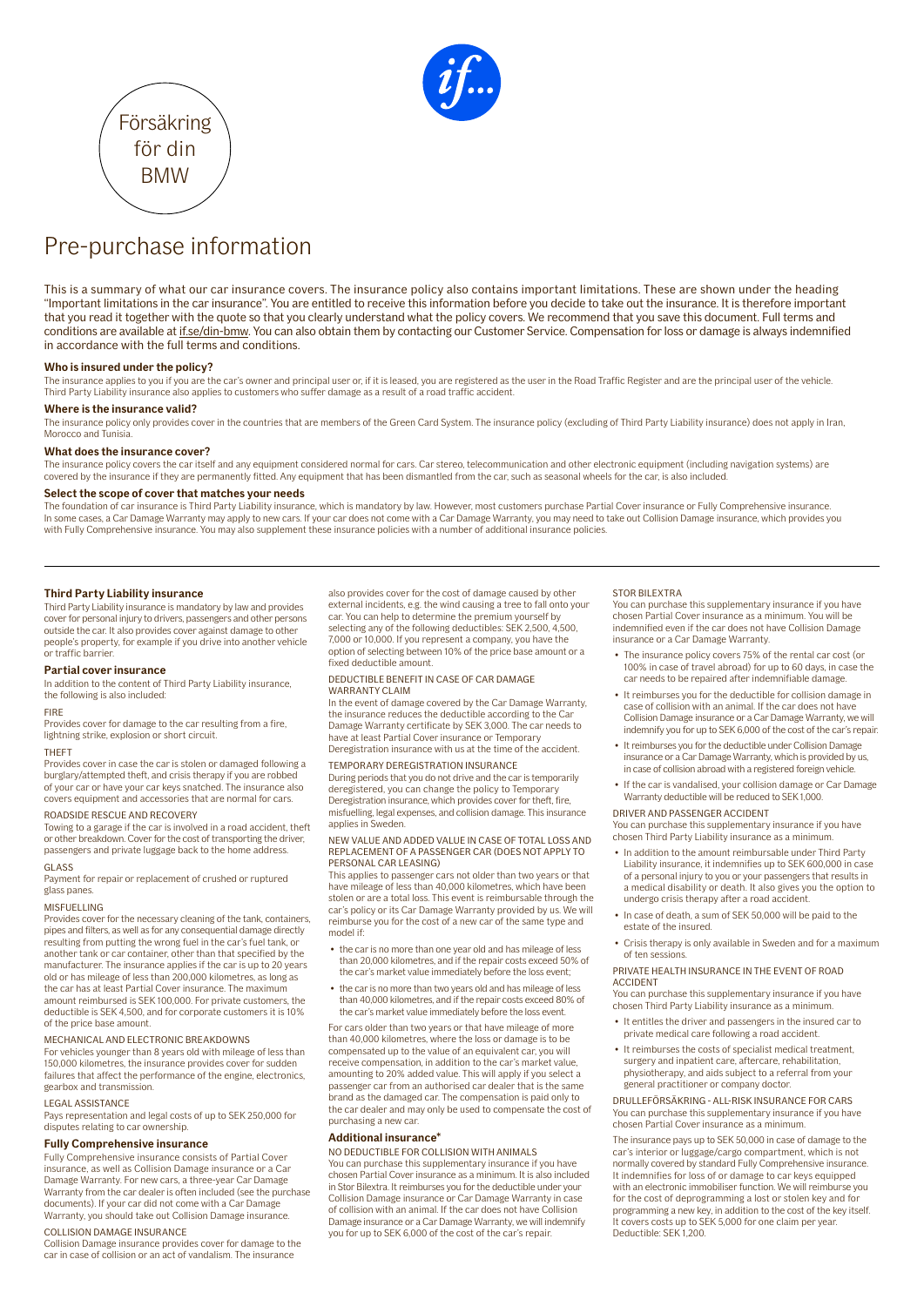



Försäkring för din BMW

This is a summary of what our car insurance covers. The insurance policy also contains important limitations. These are shown under the heading "Important limitations in the car insurance". You are entitled to receive this information before you decide to take out the insurance. It is therefore important that you read it together with the quote so that you clearly understand what the policy covers. We recommend that you save this document. Full terms and conditions are available at [if.se/din-bmw](https://www.if.se/din-bmw). You can also obtain them by contacting our Customer Service. Compensation for loss or damage is always indemnified in accordance with the full terms and conditions.

# **Who is insured under the policy?**

The insurance applies to you if you are the car's owner and principal user or, if it is leased, you are registered as the user in the Road Traffic Register and are the principal user of the vehicle. Third Party Liability insurance also applies to customers who suffer damage as a result of a road traffic accident.

# **Where is the insurance valid?**

The insurance policy only provides cover in the countries that are members of the Green Card System. The insurance policy (excluding of Third Party Liability insurance) does not apply in Iran, Morocco and Tunisia

# **What does the insurance cover?**

The insurance policy covers the car itself and any equipment considered normal for cars. Car stereo, telecommunication and other electronic equipment (including navigation systems) are covered by the insurance if they are permanently fitted. Any equipment that has been dismantled from the car, such as seasonal wheels for the car, is also included.

# **Select the scope of cover that matches your needs**

The foundation of car insurance is Third Party Liability insurance, which is mandatory by law. However, most customers purchase Partial Cover insurance or Fully Comprehensive insurance. In some cases, a Car Damage Warranty may apply to new cars. If your car does not come with a Car Damage Warranty, you may need to take out Collision Damage insurance, which provides you with Fully Comprehensive insurance. You may also supplement these insurance policies with a number of additional insurance policies.

# **Third Party Liability insurance**

Third Party Liability insurance is mandatory by law and provides cover for personal injury to drivers, passengers and other persons outside the car. It also provides cover against damage to other people's property, for example if you drive into another vehicle or traffic barrier.

# **Partial cover insurance**

In addition to the content of Third Party Liability insurance, the following is also included:

## FIRE

Provides cover for damage to the car resulting from a fire, lightning strike, explosion or short circuit.

# THEFT

Provides cover in case the car is stolen or damaged following a burglary/attempted theft, and crisis therapy if you are robbed of your car or have your car keys snatched. The insurance also covers equipment and accessories that are normal for cars.

# ROADSIDE RESCUE AND RECOVERY

Towing to a garage if the car is involved in a road accident, theft or other breakdown. Cover for the cost of transporting the driver, passengers and private luggage back to the home address.

# GLASS

Payment for repair or replacement of crushed or ruptured glass panes.

# MISFUELLING

Provides cover for the necessary cleaning of the tank, containers, pipes and filters, as well as for any consequential damage directly resulting from putting the wrong fuel in the car's fuel tank, or another tank or car container, other than that specified by the manufacturer. The insurance applies if the car is up to 20 years old or has mileage of less than 200,000 kilometres, as long as the car has at least Partial Cover insurance. The maximum amount reimbursed is SEK 100,000. For private customers, the deductible is SEK 4,500, and for corporate customers it is 10% of the price base amount.

# MECHANICAL AND ELECTRONIC BREAKDOWNS

For vehicles younger than 8 years old with mileage of less than 150,000 kilometres, the insurance provides cover for sudden failures that affect the performance of the engine, electronics, gearbox and transmission.

## LEGAL ASSISTANCE

Pays representation and legal costs of up to SEK 250,000 for disputes relating to car ownership.

# **Fully Comprehensive insurance**

Fully Comprehensive insurance consists of Partial Cover insurance, as well as Collision Damage insurance or a Car Damage Warranty. For new cars, a three-year Car Damage Warranty from the car dealer is often included (see the purchase documents). If your car did not come with a Car Damage Warranty, you should take out Collision Damage insurance.

# COLLISION DAMAGE INSURANCE

Collision Damage insurance provides cover for damage to the car in case of collision or an act of vandalism. The insurance

also provides cover for the cost of damage caused by other external incidents, e.g. the wind causing a tree to fall onto your car. You can help to determine the premium yourself by selecting any of the following deductibles: SEK 2,500, 4,500, 7,000 or 10,000. If you represent a company, you have the option of selecting between 10% of the price base amount or a fixed deductible amount.

# DEDUCTIBLE BENEFIT IN CASE OF CAR DAMAGE WARRANTY CLAIM

In the event of damage covered by the Car Damage Warranty, the insurance reduces the deductible according to the Ca Damage Warranty certificate by SEK 3,000. The car needs to have at least Partial Cover insurance or Temporary Deregistration insurance with us at the time of the accident.

# TEMPORARY DEREGISTRATION INSURANCE

During periods that you do not drive and the car is temporarily deregistered, you can change the policy to Temporary Deregistration insurance, which provides cover for theft, fire, misfuelling, legal expenses, and collision damage. This insurance applies in Sweden.

# NEW VALUE AND ADDED VALUE IN CASE OF TOTAL LOSS AND REPLACEMENT OF A PASSENGER CAR (DOES NOT APPLY TO PERSONAL CAR LEASING)

This applies to passenger cars not older than two years or that have mileage of less than 40,000 kilometres, which have been stolen or are a total loss. This event is reimbursable through the car's policy or its Car Damage Warranty provided by us. We will reimburse you for the cost of a new car of the same type and model if:

- the car is no more than one year old and has mileage of less than 20,000 kilometres, and if the repair costs exceed 50% of the car's market value immediately before the loss event;
- the car is no more than two years old and has mileage of less than 40,000 kilometres, and if the repair costs exceed 80% of the car's market value immediately before the loss event.

For cars older than two years or that have mileage of more than 40,000 kilometres, where the loss or damage is to be compensated up to the value of an equivalent car, you will receive compensation, in addition to the car's market value, amounting to 20% added value. This will apply if you select a passenger car from an authorised car dealer that is the same brand as the damaged car. The compensation is paid only to the car dealer and may only be used to compensate the cost of purchasing a new car.

# **Additional insurance\***

## NO DEDUCTIBLE FOR COLLISION WITH ANIMALS

You can purchase this supplementary insurance if you have chosen Partial Cover insurance as a minimum. It is also included in Stor Bilextra. It reimburses you for the deductible under your Collision Damage insurance or Car Damage Warranty in case of collision with an animal. If the car does not have Collision Damage insurance or a Car Damage Warranty, we will indemnify you for up to SEK 6,000 of the cost of the car's repair.

## STOR BILEXTRA

You can purchase this supplementary insurance if you have chosen Partial Cover insurance as a minimum. You will be indemnified even if the car does not have Collision Damage insurance or a Car Damage Warranty.

- The insurance policy covers 75% of the rental car cost (or 100% in case of travel abroad) for up to 60 days, in case the car needs to be repaired after indemnifiable damage.
- It reimburses you for the deductible for collision damage in case of collision with an animal. If the car does not have Collision Damage insurance or a Car Damage Warranty, we will indemnify you for up to SEK 6,000 of the cost of the car's repair.
- It reimburses you for the deductible under Collision Damage insurance or a Car Damage Warranty, which is provided by us, in case of collision abroad with a registered foreign vehicle.
- If the car is vandalised, your collision damage or Car Damage Warranty deductible will be reduced to SEK 1,000.

# DRIVER AND PASSENGER ACCIDENT

You can purchase this supplementary insurance if you have chosen Third Party Liability insurance as a minimum.

- In addition to the amount reimbursable under Third Party Liability insurance, it indemnifies up to SEK 600,000 in case of a personal injury to you or your passengers that results in a medical disability or death. It also gives you the option to undergo crisis therapy after a road accident.
- In case of death, a sum of SEK 50,000 will be paid to the estate of the insured.
- Crisis therapy is only available in Sweden and for a maximum of ten sessions.

## PRIVATE HEALTH INSURANCE IN THE EVENT OF ROAD ACCIDENT

You can purchase this supplementary insurance if you have chosen Third Party Liability insurance as a minimum.

- It entitles the driver and passengers in the insured car to private medical care following a road accident.
- It reimburses the costs of specialist medical treatment, surgery and inpatient care, aftercare, rehabilitation, physiotherapy, and aids subject to a referral from your general practitioner or company doctor.

DRULLEFÖRSÄKRING - ALL-RISK INSURANCE FOR CARS You can purchase this supplementary insurance if you have chosen Partial Cover insurance as a minimum.

The insurance pays up to SEK 50,000 in case of damage to the car's interior or luggage/cargo compartment, which is not normally covered by standard Fully Comprehensive insurance. It indemnifies for loss of or damage to car keys equipped with an electronic immobiliser function. We will reimburse you for the cost of deprogramming a lost or stolen key and fo programming a new key, in addition to the cost of the key itself. It covers costs up to SEK 5,000 for one claim per year. Deductible: SEK 1,200.